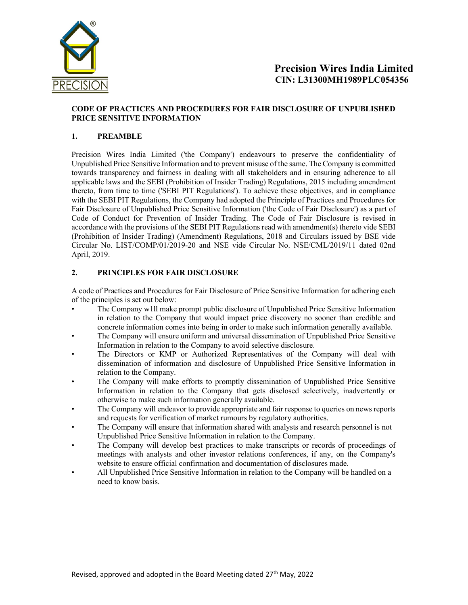

### CODE OF PRACTICES AND PROCEDURES FOR FAIR DISCLOSURE OF UNPUBLISHED PRICE SENSITIVE INFORMATION

# 1. PREAMBLE

Precision Wires India Limited ('the Company') endeavours to preserve the confidentiality of Unpublished Price Sensitive Information and to prevent misuse of the same. The Company is committed towards transparency and fairness in dealing with all stakeholders and in ensuring adherence to all applicable laws and the SEBI (Prohibition of Insider Trading) Regulations, 2015 including amendment thereto, from time to time ('SEBI PIT Regulations'). To achieve these objectives, and in compliance with the SEBI PIT Regulations, the Company had adopted the Principle of Practices and Procedures for Fair Disclosure of Unpublished Price Sensitive Information ('the Code of Fair Disclosure') as a part of Code of Conduct for Prevention of Insider Trading. The Code of Fair Disclosure is revised in accordance with the provisions of the SEBI PIT Regulations read with amendment(s) thereto vide SEBI (Prohibition of Insider Trading) (Amendment) Regulations, 2018 and Circulars issued by BSE vide Circular No. LIST/COMP/01/2019-20 and NSE vide Circular No. NSE/CML/2019/11 dated 02nd April, 2019.

# 2. PRINCIPLES FOR FAIR DISCLOSURE

A code of Practices and Procedures for Fair Disclosure of Price Sensitive Information for adhering each of the principles is set out below:

- The Company w1ll make prompt public disclosure of Unpublished Price Sensitive Information in relation to the Company that would impact price discovery no sooner than credible and concrete information comes into being in order to make such information generally available.
- The Company will ensure uniform and universal dissemination of Unpublished Price Sensitive Information in relation to the Company to avoid selective disclosure.
- The Directors or KMP or Authorized Representatives of the Company will deal with dissemination of information and disclosure of Unpublished Price Sensitive Information in relation to the Company.
- The Company will make efforts to promptly dissemination of Unpublished Price Sensitive Information in relation to the Company that gets disclosed selectively, inadvertently or otherwise to make such information generally available.
- The Company will endeavor to provide appropriate and fair response to queries on news reports and requests for verification of market rumours by regulatory authorities.
- The Company will ensure that information shared with analysts and research personnel is not Unpublished Price Sensitive Information in relation to the Company.
- The Company will develop best practices to make transcripts or records of proceedings of meetings with analysts and other investor relations conferences, if any, on the Company's website to ensure official confirmation and documentation of disclosures made.
- All Unpublished Price Sensitive Information in relation to the Company will be handled on a need to know basis.